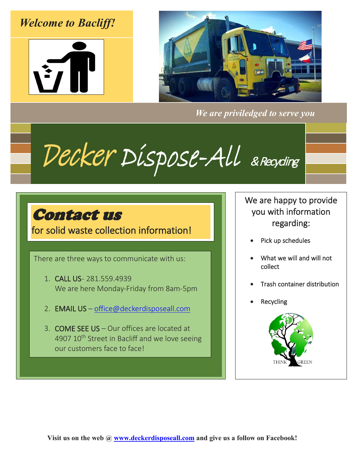## *Welcome to Bacliff!*





*We are priviledged to serve you*

Decker Dispose-All & Recycling

## Contact us

for solid waste collection information!

There are three ways to communicate with us:

- 1. CALL US 281.559.4939 We are here Monday-Friday from 8am-5pm
- 2. EMAIL US – [office@deckerdisposeall.com](mailto:office@deckerdisposeall.com)
- 3. COME SEE US Our offices are located at 4907 10<sup>th</sup> Street in Bacliff and we love seeing our customers face to face!

We are happy to provide you with information regarding:

- Pick up schedules
- What we will and will not collect
- Trash container distribution
- **Recycling**